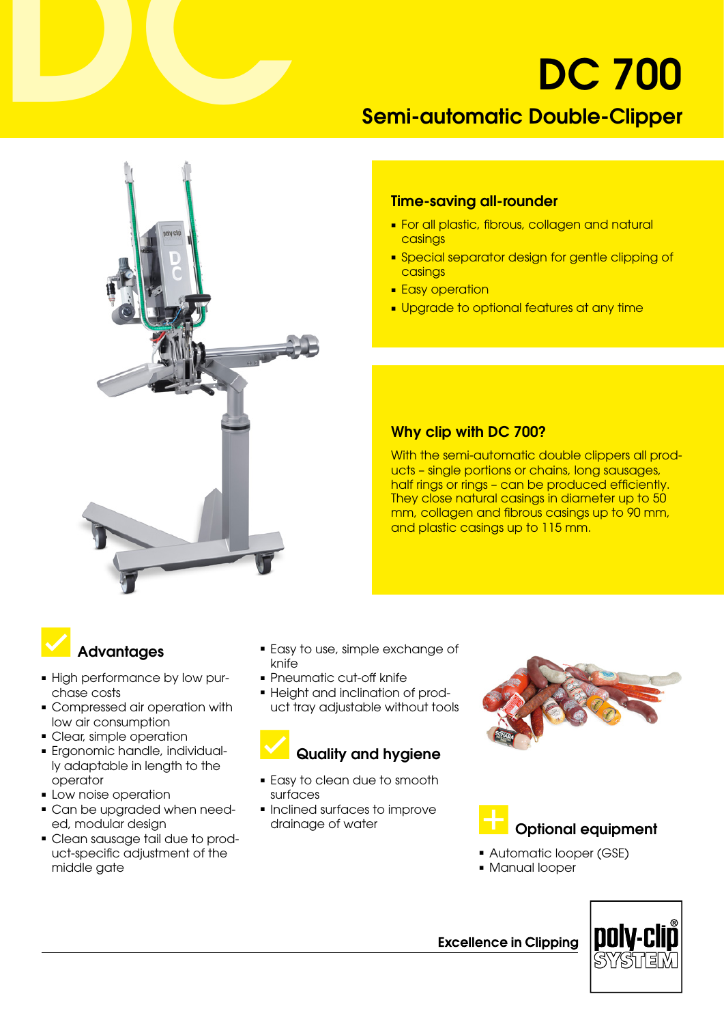# DC 700

### Semi-automatic Double-Clipper



#### Time-saving all-rounder

- For all plastic, fibrous, collagen and natural casings
- Special separator design for gentle clipping of casings
- Easy operation
- Upgrade to optional features at any time

#### Why clip with DC 700?

With the semi-automatic double clippers all products – single portions or chains, long sausages, half rings or rings - can be produced efficiently. They close natural casings in diameter up to 50 mm, collagen and fibrous casings up to 90 mm, and plastic casings up to 115 mm.

# **Advantages**

- High performance by low purchase costs
- Compressed air operation with low air consumption
- Clear, simple operation
- ■ Ergonomic handle, individually adaptable in length to the operator
- Low noise operation
- Can be upgraded when needed, modular design
- Clean sausage tail due to product-specific adjustment of the middle gate
- Easy to use, simple exchange of knife
- Pneumatic cut-off knife
- Height and inclination of product tray adjustable without tools

## Quality and hygiene

- Easy to clean due to smooth surfaces
- Inclined surfaces to improve





- Automatic looper (GSE)
- Manual looper



**Excellence in Clipping**